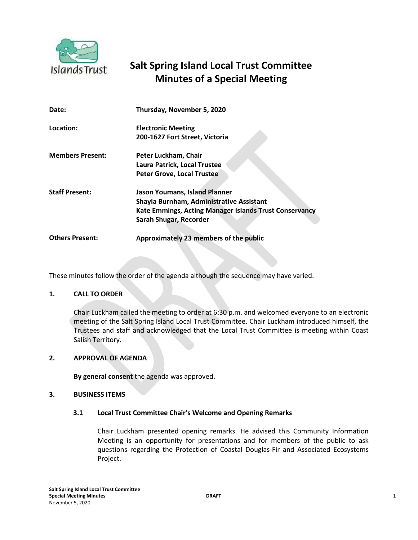

# **Salt Spring Island Local Trust Committee Minutes of a Special Meeting**

| Date:                   | Thursday, November 5, 2020                             |
|-------------------------|--------------------------------------------------------|
| Location:               | <b>Electronic Meeting</b>                              |
|                         | 200-1627 Fort Street, Victoria                         |
| <b>Members Present:</b> | Peter Luckham, Chair                                   |
|                         | Laura Patrick, Local Trustee                           |
|                         | <b>Peter Grove, Local Trustee</b>                      |
| <b>Staff Present:</b>   | Jason Youmans, Island Planner                          |
|                         | Shayla Burnham, Administrative Assistant               |
|                         | Kate Emmings, Acting Manager Islands Trust Conservancy |
|                         | Sarah Shugar, Recorder                                 |
| <b>Others Present:</b>  | Approximately 23 members of the public                 |

These minutes follow the order of the agenda although the sequence may have varied.

### **1. CALL TO ORDER**

Chair Luckham called the meeting to order at 6:30 p.m. and welcomed everyone to an electronic meeting of the Salt Spring Island Local Trust Committee. Chair Luckham introduced himself, the Trustees and staff and acknowledged that the Local Trust Committee is meeting within Coast Salish Territory.

#### **2. APPROVAL OF AGENDA**

**By general consent** the agenda was approved.

#### **3. BUSINESS ITEMS**

### **3.1 Local Trust Committee Chair's Welcome and Opening Remarks**

Chair Luckham presented opening remarks. He advised this Community Information Meeting is an opportunity for presentations and for members of the public to ask questions regarding the Protection of Coastal Douglas-Fir and Associated Ecosystems Project.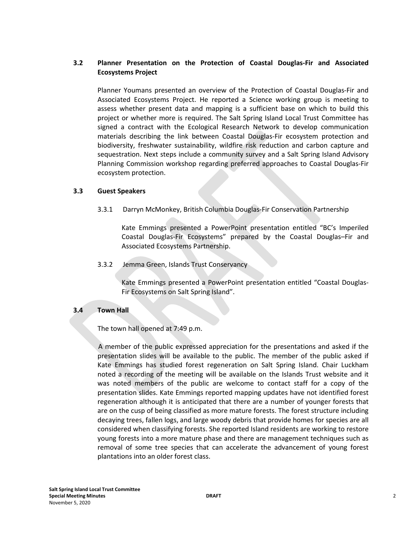## **3.2 Planner Presentation on the Protection of Coastal Douglas-Fir and Associated Ecosystems Project**

Planner Youmans presented an overview of the Protection of Coastal Douglas-Fir and Associated Ecosystems Project. He reported a Science working group is meeting to assess whether present data and mapping is a sufficient base on which to build this project or whether more is required. The Salt Spring Island Local Trust Committee has signed a contract with the Ecological Research Network to develop communication materials describing the link between Coastal Douglas-Fir ecosystem protection and biodiversity, freshwater sustainability, wildfire risk reduction and carbon capture and sequestration. Next steps include a community survey and a Salt Spring Island Advisory Planning Commission workshop regarding preferred approaches to Coastal Douglas-Fir ecosystem protection.

#### **3.3 Guest Speakers**

3.3.1 Darryn McMonkey, British Columbia Douglas-Fir Conservation Partnership

Kate Emmings presented a PowerPoint presentation entitled "BC's Imperiled Coastal Douglas-Fir Ecosystems" prepared by the Coastal Douglas–Fir and Associated Ecosystems Partnership.

3.3.2 Jemma Green, Islands Trust Conservancy

Kate Emmings presented a PowerPoint presentation entitled "Coastal Douglas-Fir Ecosystems on Salt Spring Island".

#### **3.4 Town Hall**

The town hall opened at 7:49 p.m.

A member of the public expressed appreciation for the presentations and asked if the presentation slides will be available to the public. The member of the public asked if Kate Emmings has studied forest regeneration on Salt Spring Island. Chair Luckham noted a recording of the meeting will be available on the Islands Trust website and it was noted members of the public are welcome to contact staff for a copy of the presentation slides. Kate Emmings reported mapping updates have not identified forest regeneration although it is anticipated that there are a number of younger forests that are on the cusp of being classified as more mature forests. The forest structure including decaying trees, fallen logs, and large woody debris that provide homes for species are all considered when classifying forests. She reported Island residents are working to restore young forests into a more mature phase and there are management techniques such as removal of some tree species that can accelerate the advancement of young forest plantations into an older forest class.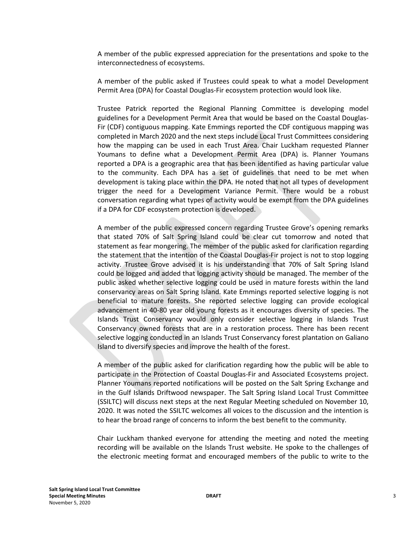A member of the public expressed appreciation for the presentations and spoke to the interconnectedness of ecosystems.

A member of the public asked if Trustees could speak to what a model Development Permit Area (DPA) for Coastal Douglas-Fir ecosystem protection would look like.

Trustee Patrick reported the Regional Planning Committee is developing model guidelines for a Development Permit Area that would be based on the Coastal Douglas-Fir (CDF) contiguous mapping. Kate Emmings reported the CDF contiguous mapping was completed in March 2020 and the next steps include Local Trust Committees considering how the mapping can be used in each Trust Area. Chair Luckham requested Planner Youmans to define what a Development Permit Area (DPA) is. Planner Youmans reported a DPA is a geographic area that has been identified as having particular value to the community. Each DPA has a set of guidelines that need to be met when development is taking place within the DPA. He noted that not all types of development trigger the need for a Development Variance Permit. There would be a robust conversation regarding what types of activity would be exempt from the DPA guidelines if a DPA for CDF ecosystem protection is developed.

A member of the public expressed concern regarding Trustee Grove's opening remarks that stated 70% of Salt Spring Island could be clear cut tomorrow and noted that statement as fear mongering. The member of the public asked for clarification regarding the statement that the intention of the Coastal Douglas-Fir project is not to stop logging activity. Trustee Grove advised it is his understanding that 70% of Salt Spring Island could be logged and added that logging activity should be managed. The member of the public asked whether selective logging could be used in mature forests within the land conservancy areas on Salt Spring Island. Kate Emmings reported selective logging is not beneficial to mature forests. She reported selective logging can provide ecological advancement in 40-80 year old young forests as it encourages diversity of species. The Islands Trust Conservancy would only consider selective logging in Islands Trust Conservancy owned forests that are in a restoration process. There has been recent selective logging conducted in an Islands Trust Conservancy forest plantation on Galiano Island to diversify species and improve the health of the forest.

A member of the public asked for clarification regarding how the public will be able to participate in the Protection of Coastal Douglas-Fir and Associated Ecosystems project. Planner Youmans reported notifications will be posted on the Salt Spring Exchange and in the Gulf Islands Driftwood newspaper. The Salt Spring Island Local Trust Committee (SSILTC) will discuss next steps at the next Regular Meeting scheduled on November 10, 2020. It was noted the SSILTC welcomes all voices to the discussion and the intention is to hear the broad range of concerns to inform the best benefit to the community.

Chair Luckham thanked everyone for attending the meeting and noted the meeting recording will be available on the Islands Trust website. He spoke to the challenges of the electronic meeting format and encouraged members of the public to write to the